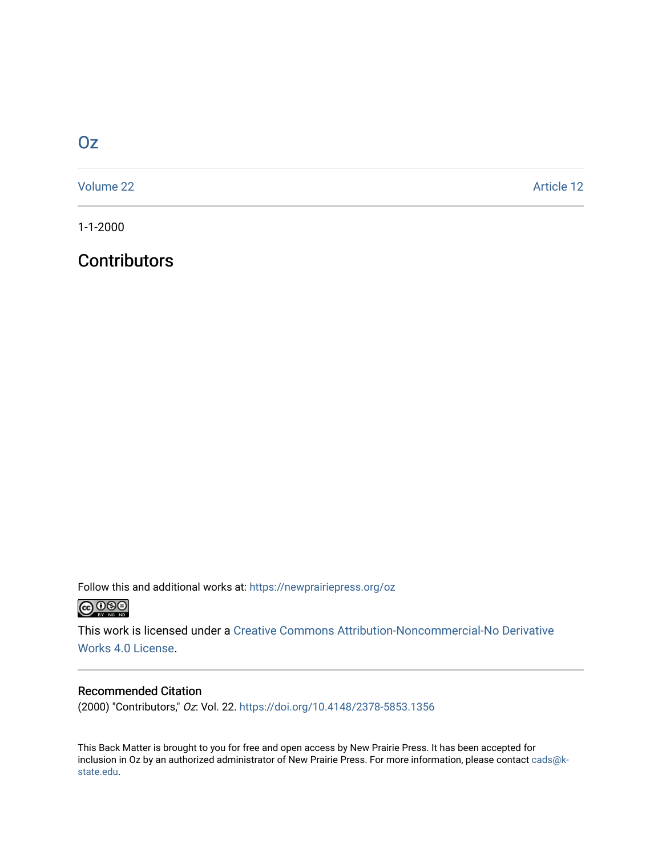# [Oz](https://newprairiepress.org/oz)

[Volume 22](https://newprairiepress.org/oz/vol22) Article 12

1-1-2000

## **Contributors**

Follow this and additional works at: [https://newprairiepress.org/oz](https://newprairiepress.org/oz?utm_source=newprairiepress.org%2Foz%2Fvol22%2Fiss1%2F12&utm_medium=PDF&utm_campaign=PDFCoverPages) 



This work is licensed under a [Creative Commons Attribution-Noncommercial-No Derivative](https://creativecommons.org/licenses/by-nc-nd/4.0/)  [Works 4.0 License](https://creativecommons.org/licenses/by-nc-nd/4.0/).

## Recommended Citation

(2000) "Contributors," Oz: Vol. 22. <https://doi.org/10.4148/2378-5853.1356>

This Back Matter is brought to you for free and open access by New Prairie Press. It has been accepted for inclusion in Oz by an authorized administrator of New Prairie Press. For more information, please contact [cads@k](mailto:cads@k-state.edu)[state.edu](mailto:cads@k-state.edu).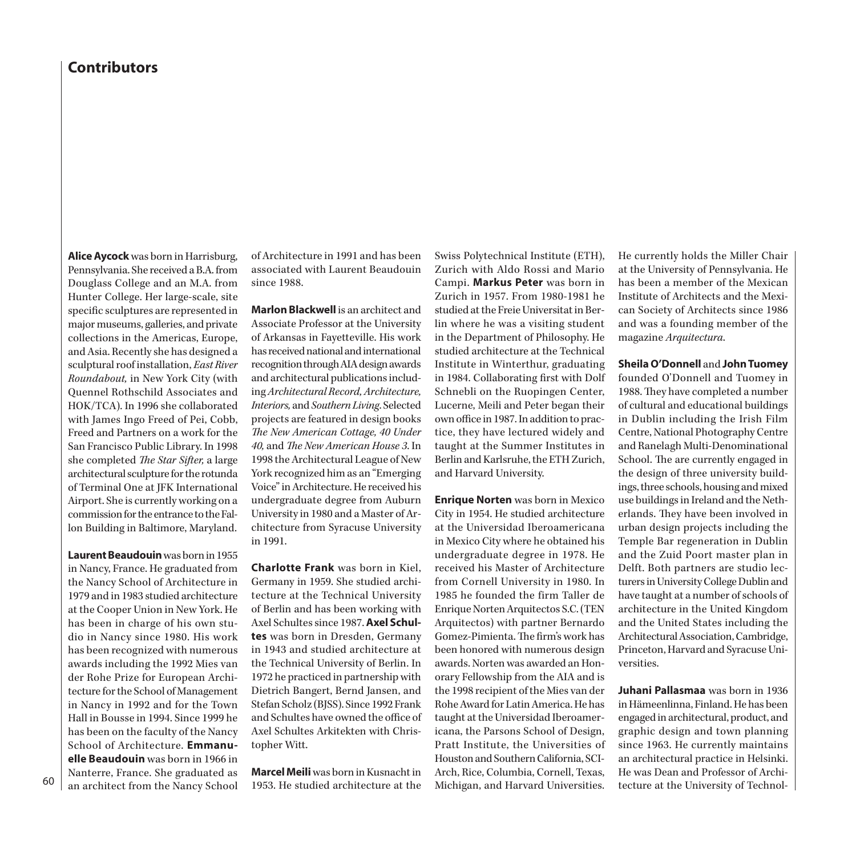**Alice Aycock** was born in Harrisburg, Pennsylvania. She received a B.A. from Douglass College and an M.A. from Hunter College. Her large-scale, site specific sculptures are represented in major museums, galleries, and private collections in the Americas, Europe, and Asia. Recently she has designed a sculptural roof installation, *East River Roundabout,* in New York City (with Quennel Rothschild Associates and HOK/TCA). In 1996 she collaborated with James Ingo Freed of Pei, Cobb, Freed and Partners on a work for the San Francisco Public Library. In 1998 she completed *The Star Sifter,* a large architectural sculpture for the rotunda of Terminal One at JFK International Airport. She is currently working on a commission for the entrance to the Fallon Building in Baltimore, Maryland.

**Laurent Beaudouin** was born in 1955 in Nancy, France. He graduated from the Nancy School of Architecture in 1979 and in 1983 studied architecture at the Cooper Union in New York. He has been in charge of his own studio in Nancy since 1980. His work has been recognized with numerous awards including the 1992 Mies van der Rohe Prize for European Architecture for the School of Management in Nancy in 1992 and for the Town Hall in Bousse in 1994. Since 1999 he has been on the faculty of the Nancy School of Architecture. **Emmanuelle Beaudouin** was born in 1966 in Nanterre, France. She graduated as an architect from the Nancy School

60

of Architecture in 1991 and has been associated with Laurent Beaudouin since 1988.

**Marlon Blackwell** is an architect and Associate Professor at the University of Arkansas in Fayetteville. His work has received national and international recognition through AIA design awards and architectural publications including *Architectural Record, Architecture, Interiors,* and *Southern Living*. Selected projects are featured in design books *The New American Cottage, 40 Under 40,* and *The New American House 3*. In 1998 the Architectural League of New York recognized him as an "Emerging Voice" in Architecture. He received his undergraduate degree from Auburn University in 1980 and a Master of Architecture from Syracuse University in 1991.

**Charlotte Frank** was born in Kiel, Germany in 1959. She studied architecture at the Technical University of Berlin and has been working with Axel Schultes since 1987. **Axel Schultes** was born in Dresden, Germany in 1943 and studied architecture at the Technical University of Berlin. In 1972 he practiced in partnership with Dietrich Bangert, Bernd Jansen, and Stefan Scholz (BJSS). Since 1992 Frank and Schultes have owned the office of Axel Schultes Arkitekten with Christopher Witt.

**Marcel Meili** was born in Kusnacht in 1953. He studied architecture at the Swiss Polytechnical Institute (ETH), Zurich with Aldo Rossi and Mario Campi. **Markus Peter** was born in Zurich in 1957. From 1980-1981 he studied at the Freie Universitat in Berlin where he was a visiting student in the Department of Philosophy. He studied architecture at the Technical Institute in Winterthur, graduating in 1984. Collaborating first with Dolf Schnebli on the Ruopingen Center, Lucerne, Meili and Peter began their own office in 1987. In addition to practice, they have lectured widely and taught at the Summer Institutes in Berlin and Karlsruhe, the ETH Zurich, and Harvard University.

**Enrique Norten** was born in Mexico City in 1954. He studied architecture at the Universidad Iberoamericana in Mexico City where he obtained his undergraduate degree in 1978. He received his Master of Architecture from Cornell University in 1980. In 1985 he founded the firm Taller de Enrique Norten Arquitectos S.C. (TEN Arquitectos) with partner Bernardo Gomez-Pimienta. The firm's work has been honored with numerous design awards. Norten was awarded an Honorary Fellowship from the AIA and is the 1998 recipient of the Mies van der Rohe Award for Latin America. He has taught at the Universidad Iberoamericana, the Parsons School of Design, Pratt Institute, the Universities of Houston and Southern California, SCI-Arch, Rice, Columbia, Cornell, Texas, Michigan, and Harvard Universities.

He currently holds the Miller Chair at the University of Pennsylvania. He has been a member of the Mexican Institute of Architects and the Mexican Society of Architects since 1986 and was a founding member of the magazine *Arquitectura*.

#### **Sheila O'Donnell** and **John Tuomey**

founded O'Donnell and Tuomey in 1988. They have completed a number of cultural and educational buildings in Dublin including the Irish Film Centre, National Photography Centre and Ranelagh Multi-Denominational School. The are currently engaged in the design of three university buildings, three schools, housing and mixed use buildings in Ireland and the Netherlands. They have been involved in urban design projects including the Temple Bar regeneration in Dublin and the Zuid Poort master plan in Delft. Both partners are studio lecturers in University College Dublin and have taught at a number of schools of architecture in the United Kingdom and the United States including the Architectural Association, Cambridge, Princeton, Harvard and Syracuse Universities.

**Juhani Pallasmaa** was born in 1936 in Hämeenlinna, Finland. He has been engaged in architectural, product, and graphic design and town planning since 1963. He currently maintains an architectural practice in Helsinki. He was Dean and Professor of Architecture at the University of Technol-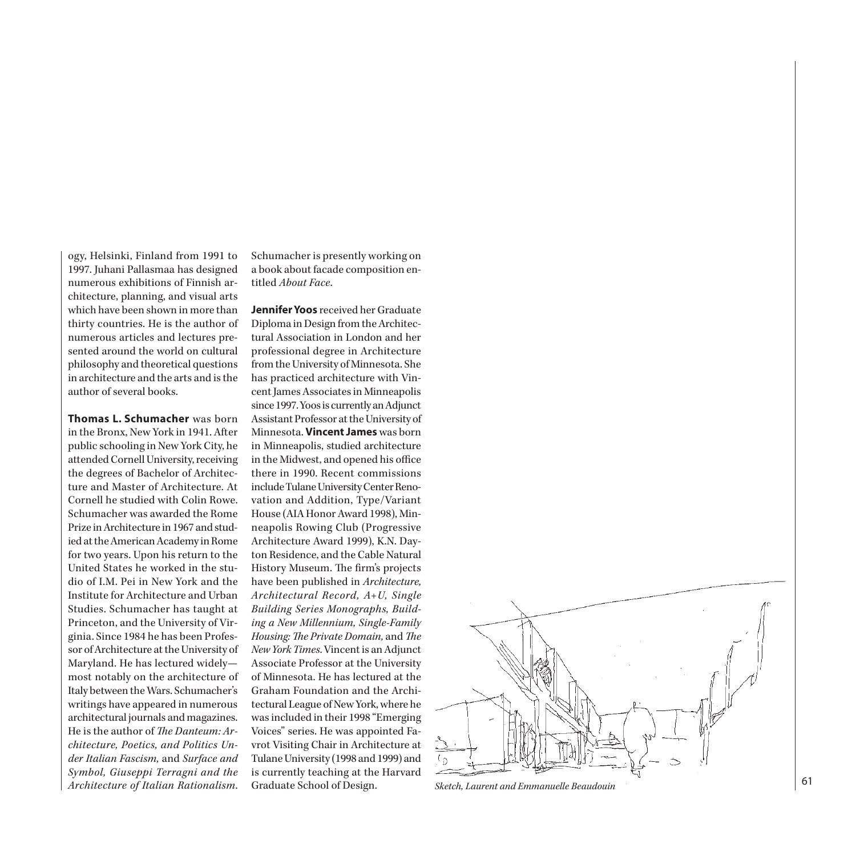ogy, Helsinki, Finland from 1991 to 1997. Juhani Pallasmaa has designed numerous exhibitions of Finnish ar chitecture, planning, and visual arts which have been shown in more than thirty countries. He is the author of numerous articles and lectures pre sented around the world on cultural philosophy and theoretical questions in architecture and the arts and is the author of several books.

**Thomas L. Schumacher** was born in the Bronx, New York in 1941. After public schooling in New York City, he attended Cornell University, receiving the degrees of Bachelor of Architec ture and Master of Architecture. At Cornell he studied with Colin Rowe. Schumacher was awarded the Rome Prize in Architecture in 1967 and stud ied at the American Academy in Rome for two years. Upon his return to the United States he worked in the stu dio of I.M. Pei in New York and the Institute for Architecture and Urban Studies. Schumacher has taught at Princeton, and the University of Vir ginia. Since 1984 he has been Profes sor of Architecture at the University of Maryland. He has lectured widely most notably on the architecture of Italy between the Wars. Schumacher's writings have appeared in numerous architectural journals and magazines. He is the author of *The Danteum: Ar chitecture, Poetics, and Politics Un der Italian Fascism,* and *Surface and Symbol, Giuseppi Terragni and the Architecture of Italian Rationalism*.

Schumacher is presently working on a book about facade composition en titled *About Face* .

**Jennifer Yoos** received her Graduate Diploma in Design from the Architec tural Association in London and her professional degree in Architecture from the University of Minnesota. She has practiced architecture with Vin cent James Associates in Minneapolis since 1997. Yoos is currently an Adjunct Assistant Professor at the University of Minnesota. **Vincent James** was born in Minneapolis, studied architecture in the Midwest, and opened his office there in 1990. Recent commissions include Tulane University Center Reno vation and Addition, Type/Variant House (AIA Honor Award 1998), Min neapolis Rowing Club (Progressive Architecture Award 1999), K.N. Day ton Residence, and the Cable Natural History Museum. The firm's projects have been published in *Architecture, Architectural Record, A+U, Single Building Series Monographs, Build ing a New Millennium, Single-Family Housing: The Private Domain,* and *The New York Times*. Vincent is an Adjunct Associate Professor at the University of Minnesota. He has lectured at the Graham Foundation and the Archi tectural League of New York, where he was included in their 1998 "Emerging Voices" series. He was appointed Fa vrot Visiting Chair in Architecture at Tulane University (1998 and 1999) and is currently teaching at the Harvard



Graduate School of Design. *Sketch, Laurent and Emmanuelle Beaudouin*